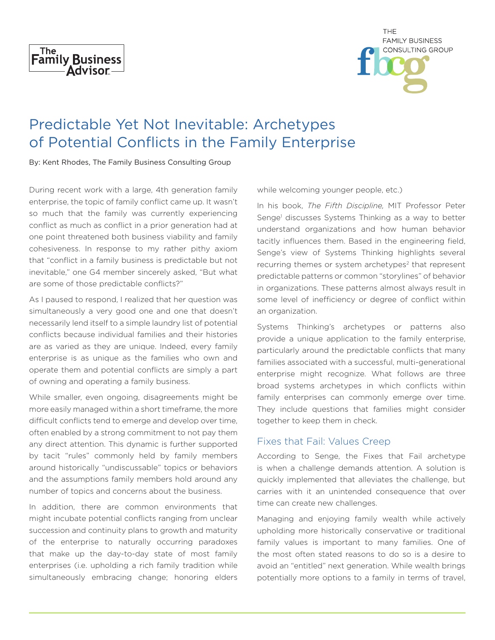



## Predictable Yet Not Inevitable: Archetypes of Potential Conflicts in the Family Enterprise

By: Kent Rhodes, The Family Business Consulting Group

During recent work with a large, 4th generation family enterprise, the topic of family conflict came up. It wasn't so much that the family was currently experiencing conflict as much as conflict in a prior generation had at one point threatened both business viability and family cohesiveness. In response to my rather pithy axiom that "conflict in a family business is predictable but not inevitable," one G4 member sincerely asked, "But what are some of those predictable conflicts?"

As I paused to respond, I realized that her question was simultaneously a very good one and one that doesn't necessarily lend itself to a simple laundry list of potential conflicts because individual families and their histories are as varied as they are unique. Indeed, every family enterprise is as unique as the families who own and operate them and potential conflicts are simply a part of owning and operating a family business.

While smaller, even ongoing, disagreements might be more easily managed within a short timeframe, the more difficult conflicts tend to emerge and develop over time, often enabled by a strong commitment to not pay them any direct attention. This dynamic is further supported by tacit "rules" commonly held by family members around historically "undiscussable" topics or behaviors and the assumptions family members hold around any number of topics and concerns about the business.

In addition, there are common environments that might incubate potential conflicts ranging from unclear succession and continuity plans to growth and maturity of the enterprise to naturally occurring paradoxes that make up the day-to-day state of most family enterprises (i.e. upholding a rich family tradition while simultaneously embracing change; honoring elders while welcoming younger people, etc.)

In his book, *The Fifth Discipline,* MIT Professor Peter Senge<sup>1</sup> discusses Systems Thinking as a way to better understand organizations and how human behavior tacitly influences them. Based in the engineering field, Senge's view of Systems Thinking highlights several recurring themes or system archetypes<sup>2</sup> that represent predictable patterns or common "storylines" of behavior in organizations. These patterns almost always result in some level of inefficiency or degree of conflict within an organization.

Systems Thinking's archetypes or patterns also provide a unique application to the family enterprise, particularly around the predictable conflicts that many families associated with a successful, multi-generational enterprise might recognize. What follows are three broad systems archetypes in which conflicts within family enterprises can commonly emerge over time. They include questions that families might consider together to keep them in check.

## Fixes that Fail: Values Creep

According to Senge, the Fixes that Fail archetype is when a challenge demands attention. A solution is quickly implemented that alleviates the challenge, but carries with it an unintended consequence that over time can create new challenges.

Managing and enjoying family wealth while actively upholding more historically conservative or traditional family values is important to many families. One of the most often stated reasons to do so is a desire to avoid an "entitled" next generation. While wealth brings potentially more options to a family in terms of travel,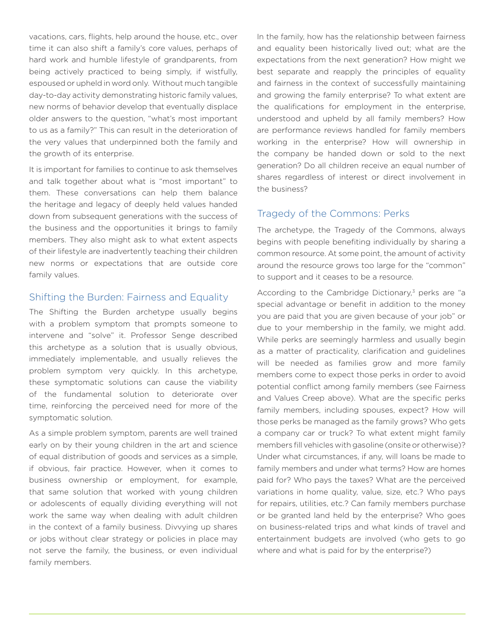vacations, cars, flights, help around the house, etc., over time it can also shift a family's core values, perhaps of hard work and humble lifestyle of grandparents, from being actively practiced to being simply, if wistfully, espoused or upheld in word only. Without much tangible day-to-day activity demonstrating historic family values, new norms of behavior develop that eventually displace older answers to the question, "what's most important to us as a family?" This can result in the deterioration of the very values that underpinned both the family and the growth of its enterprise.

It is important for families to continue to ask themselves and talk together about what is "most important" to them. These conversations can help them balance the heritage and legacy of deeply held values handed down from subsequent generations with the success of the business and the opportunities it brings to family members. They also might ask to what extent aspects of their lifestyle are inadvertently teaching their children new norms or expectations that are outside core family values.

## Shifting the Burden: Fairness and Equality

The Shifting the Burden archetype usually begins with a problem symptom that prompts someone to intervene and "solve" it. Professor Senge described this archetype as a solution that is usually obvious, immediately implementable, and usually relieves the problem symptom very quickly. In this archetype, these symptomatic solutions can cause the viability of the fundamental solution to deteriorate over time, reinforcing the perceived need for more of the symptomatic solution.

As a simple problem symptom, parents are well trained early on by their young children in the art and science of equal distribution of goods and services as a simple, if obvious, fair practice. However, when it comes to business ownership or employment, for example, that same solution that worked with young children or adolescents of equally dividing everything will not work the same way when dealing with adult children in the context of a family business. Divvying up shares or jobs without clear strategy or policies in place may not serve the family, the business, or even individual family members.

In the family, how has the relationship between fairness and equality been historically lived out; what are the expectations from the next generation? How might we best separate and reapply the principles of equality and fairness in the context of successfully maintaining and growing the family enterprise? To what extent are the qualifications for employment in the enterprise, understood and upheld by all family members? How are performance reviews handled for family members working in the enterprise? How will ownership in the company be handed down or sold to the next generation? Do all children receive an equal number of shares regardless of interest or direct involvement in the business?

## Tragedy of the Commons: Perks

The archetype, the Tragedy of the Commons, always begins with people benefiting individually by sharing a common resource. At some point, the amount of activity around the resource grows too large for the "common" to support and it ceases to be a resource.

According to the Cambridge Dictionary, $3$  perks are "a special advantage or benefit in addition to the money you are paid that you are given because of your job" or due to your membership in the family, we might add. While perks are seemingly harmless and usually begin as a matter of practicality, clarification and guidelines will be needed as families grow and more family members come to expect those perks in order to avoid potential conflict among family members (see Fairness and Values Creep above). What are the specific perks family members, including spouses, expect? How will those perks be managed as the family grows? Who gets a company car or truck? To what extent might family members fill vehicles with gasoline (onsite or otherwise)? Under what circumstances, if any, will loans be made to family members and under what terms? How are homes paid for? Who pays the taxes? What are the perceived variations in home quality, value, size, etc.? Who pays for repairs, utilities, etc.? Can family members purchase or be granted land held by the enterprise? Who goes on business-related trips and what kinds of travel and entertainment budgets are involved (who gets to go where and what is paid for by the enterprise?)